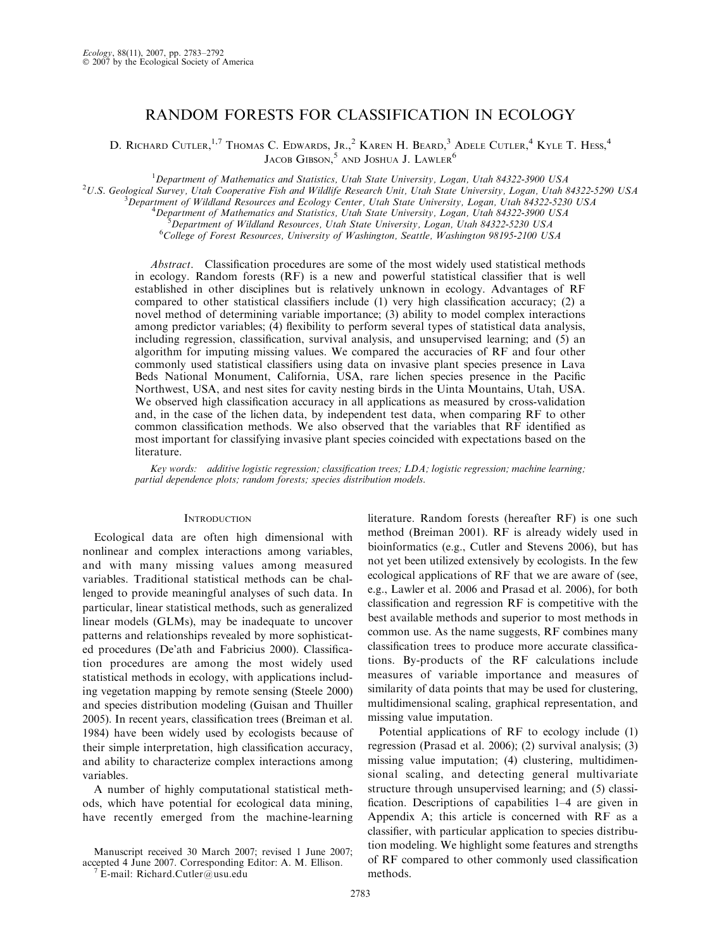# RANDOM FORESTS FOR CLASSIFICATION IN ECOLOGY

D. RICHARD CUTLER,<sup>1,7</sup> Thomas C. Edwards, Jr.,<sup>2</sup> Karen H. Beard,<sup>3</sup> Adele Cutler,<sup>4</sup> Kyle T. Hess,<sup>4</sup> JACOB GIBSON,<sup>5</sup> and Joshua J. Lawler<sup>6</sup>

 ${}^{1}$ Department of Mathematics and Statistics, Utah State University, Logan, Utah 84322-3900 USA Department of Mathematics and Statistics, Utah State University, Logan, Utah 84322-3900 USA<br><sup>2</sup>U.S. Geologiael Sympa, Utah Geoporative Eich and Wildlife Bessauch Unit, Utah State University, Logan, Utah S U.S. Geological Survey, Utah Cooperative Fish and Wildlife Research Unit, Utah State University, Logan, Utah 84322-5290 USA<br><sup>3</sup> Donastment of Wildland Pesources and Feology Center, Utah State University, Logan, Utah 84322  $\beta$ Department of Wildland Resources and Ecology Center, Utah State University, Logan, Utah 84322-5230 USA  $^4$ Department of Mathematics and Statistics, Utah State University, Logan, Utah 84322-3900 USA  $\delta$ Department of Wildland Resources, Utah State University, Logan, Utah 84322-5230 USA College of Forest Resources, University of Washington, Seattle, Washington 98195-2100 USA

Abstract. Classification procedures are some of the most widely used statistical methods in ecology. Random forests (RF) is a new and powerful statistical classifier that is well established in other disciplines but is relatively unknown in ecology. Advantages of RF compared to other statistical classifiers include (1) very high classification accuracy; (2) a novel method of determining variable importance; (3) ability to model complex interactions among predictor variables; (4) flexibility to perform several types of statistical data analysis, including regression, classification, survival analysis, and unsupervised learning; and (5) an algorithm for imputing missing values. We compared the accuracies of RF and four other commonly used statistical classifiers using data on invasive plant species presence in Lava Beds National Monument, California, USA, rare lichen species presence in the Pacific Northwest, USA, and nest sites for cavity nesting birds in the Uinta Mountains, Utah, USA. We observed high classification accuracy in all applications as measured by cross-validation and, in the case of the lichen data, by independent test data, when comparing RF to other common classification methods. We also observed that the variables that RF identified as most important for classifying invasive plant species coincided with expectations based on the literature.

Key words: additive logistic regression; classification trees; LDA; logistic regression; machine learning; partial dependence plots; random forests; species distribution models.

## **INTRODUCTION**

Ecological data are often high dimensional with nonlinear and complex interactions among variables, and with many missing values among measured variables. Traditional statistical methods can be challenged to provide meaningful analyses of such data. In particular, linear statistical methods, such as generalized linear models (GLMs), may be inadequate to uncover patterns and relationships revealed by more sophisticated procedures (De'ath and Fabricius 2000). Classification procedures are among the most widely used statistical methods in ecology, with applications including vegetation mapping by remote sensing (Steele 2000) and species distribution modeling (Guisan and Thuiller 2005). In recent years, classification trees (Breiman et al. 1984) have been widely used by ecologists because of their simple interpretation, high classification accuracy, and ability to characterize complex interactions among variables.

A number of highly computational statistical methods, which have potential for ecological data mining, have recently emerged from the machine-learning literature. Random forests (hereafter RF) is one such method (Breiman 2001). RF is already widely used in bioinformatics (e.g., Cutler and Stevens 2006), but has not yet been utilized extensively by ecologists. In the few ecological applications of RF that we are aware of (see, e.g., Lawler et al. 2006 and Prasad et al. 2006), for both classification and regression RF is competitive with the best available methods and superior to most methods in common use. As the name suggests, RF combines many classification trees to produce more accurate classifications. By-products of the RF calculations include measures of variable importance and measures of similarity of data points that may be used for clustering, multidimensional scaling, graphical representation, and missing value imputation.

Potential applications of RF to ecology include (1) regression (Prasad et al. 2006); (2) survival analysis; (3) missing value imputation; (4) clustering, multidimensional scaling, and detecting general multivariate structure through unsupervised learning; and (5) classification. Descriptions of capabilities 1–4 are given in Appendix A; this article is concerned with RF as a classifier, with particular application to species distribution modeling. We highlight some features and strengths of RF compared to other commonly used classification methods.

Manuscript received 30 March 2007; revised 1 June 2007; accepted 4 June 2007. Corresponding Editor: A. M. Ellison. <sup>7</sup> E-mail: Richard.Cutler@usu.edu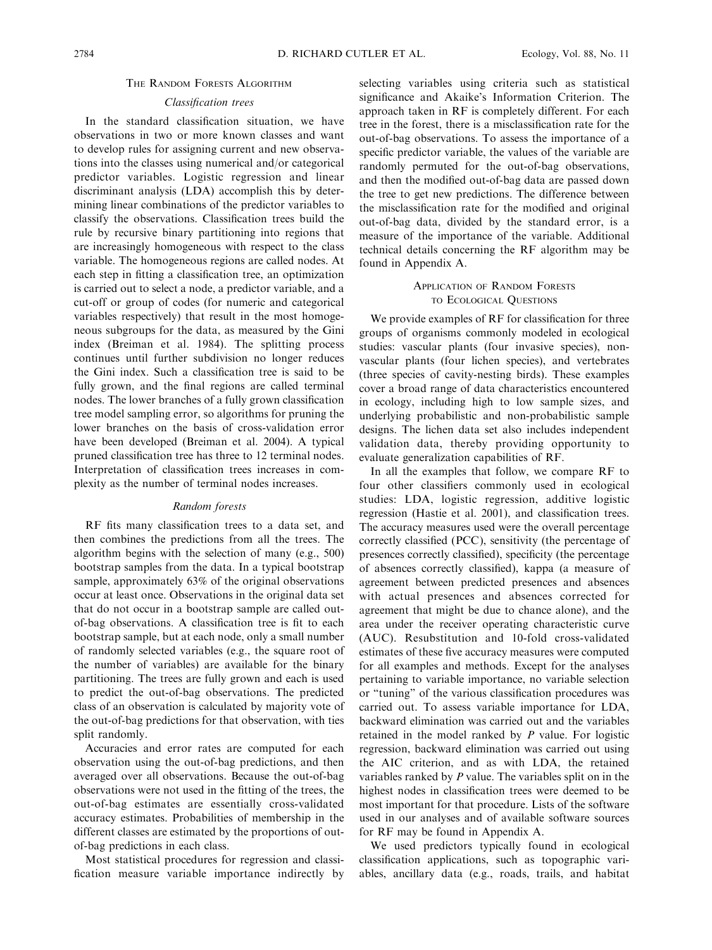### THE RANDOM FORESTS ALGORITHM

## Classification trees

In the standard classification situation, we have observations in two or more known classes and want to develop rules for assigning current and new observations into the classes using numerical and/or categorical predictor variables. Logistic regression and linear discriminant analysis (LDA) accomplish this by determining linear combinations of the predictor variables to classify the observations. Classification trees build the rule by recursive binary partitioning into regions that are increasingly homogeneous with respect to the class variable. The homogeneous regions are called nodes. At each step in fitting a classification tree, an optimization is carried out to select a node, a predictor variable, and a cut-off or group of codes (for numeric and categorical variables respectively) that result in the most homogeneous subgroups for the data, as measured by the Gini index (Breiman et al. 1984). The splitting process continues until further subdivision no longer reduces the Gini index. Such a classification tree is said to be fully grown, and the final regions are called terminal nodes. The lower branches of a fully grown classification tree model sampling error, so algorithms for pruning the lower branches on the basis of cross-validation error have been developed (Breiman et al. 2004). A typical pruned classification tree has three to 12 terminal nodes. Interpretation of classification trees increases in complexity as the number of terminal nodes increases.

### Random forests

RF fits many classification trees to a data set, and then combines the predictions from all the trees. The algorithm begins with the selection of many (e.g., 500) bootstrap samples from the data. In a typical bootstrap sample, approximately 63% of the original observations occur at least once. Observations in the original data set that do not occur in a bootstrap sample are called outof-bag observations. A classification tree is fit to each bootstrap sample, but at each node, only a small number of randomly selected variables (e.g., the square root of the number of variables) are available for the binary partitioning. The trees are fully grown and each is used to predict the out-of-bag observations. The predicted class of an observation is calculated by majority vote of the out-of-bag predictions for that observation, with ties split randomly.

Accuracies and error rates are computed for each observation using the out-of-bag predictions, and then averaged over all observations. Because the out-of-bag observations were not used in the fitting of the trees, the out-of-bag estimates are essentially cross-validated accuracy estimates. Probabilities of membership in the different classes are estimated by the proportions of outof-bag predictions in each class.

Most statistical procedures for regression and classification measure variable importance indirectly by selecting variables using criteria such as statistical significance and Akaike's Information Criterion. The approach taken in RF is completely different. For each tree in the forest, there is a misclassification rate for the out-of-bag observations. To assess the importance of a specific predictor variable, the values of the variable are randomly permuted for the out-of-bag observations, and then the modified out-of-bag data are passed down the tree to get new predictions. The difference between the misclassification rate for the modified and original out-of-bag data, divided by the standard error, is a measure of the importance of the variable. Additional technical details concerning the RF algorithm may be found in Appendix A.

## APPLICATION OF RANDOM FORESTS TO ECOLOGICAL QUESTIONS

We provide examples of RF for classification for three groups of organisms commonly modeled in ecological studies: vascular plants (four invasive species), nonvascular plants (four lichen species), and vertebrates (three species of cavity-nesting birds). These examples cover a broad range of data characteristics encountered in ecology, including high to low sample sizes, and underlying probabilistic and non-probabilistic sample designs. The lichen data set also includes independent validation data, thereby providing opportunity to evaluate generalization capabilities of RF.

In all the examples that follow, we compare RF to four other classifiers commonly used in ecological studies: LDA, logistic regression, additive logistic regression (Hastie et al. 2001), and classification trees. The accuracy measures used were the overall percentage correctly classified (PCC), sensitivity (the percentage of presences correctly classified), specificity (the percentage of absences correctly classified), kappa (a measure of agreement between predicted presences and absences with actual presences and absences corrected for agreement that might be due to chance alone), and the area under the receiver operating characteristic curve (AUC). Resubstitution and 10-fold cross-validated estimates of these five accuracy measures were computed for all examples and methods. Except for the analyses pertaining to variable importance, no variable selection or ''tuning'' of the various classification procedures was carried out. To assess variable importance for LDA, backward elimination was carried out and the variables retained in the model ranked by P value. For logistic regression, backward elimination was carried out using the AIC criterion, and as with LDA, the retained variables ranked by P value. The variables split on in the highest nodes in classification trees were deemed to be most important for that procedure. Lists of the software used in our analyses and of available software sources for RF may be found in Appendix A.

We used predictors typically found in ecological classification applications, such as topographic variables, ancillary data (e.g., roads, trails, and habitat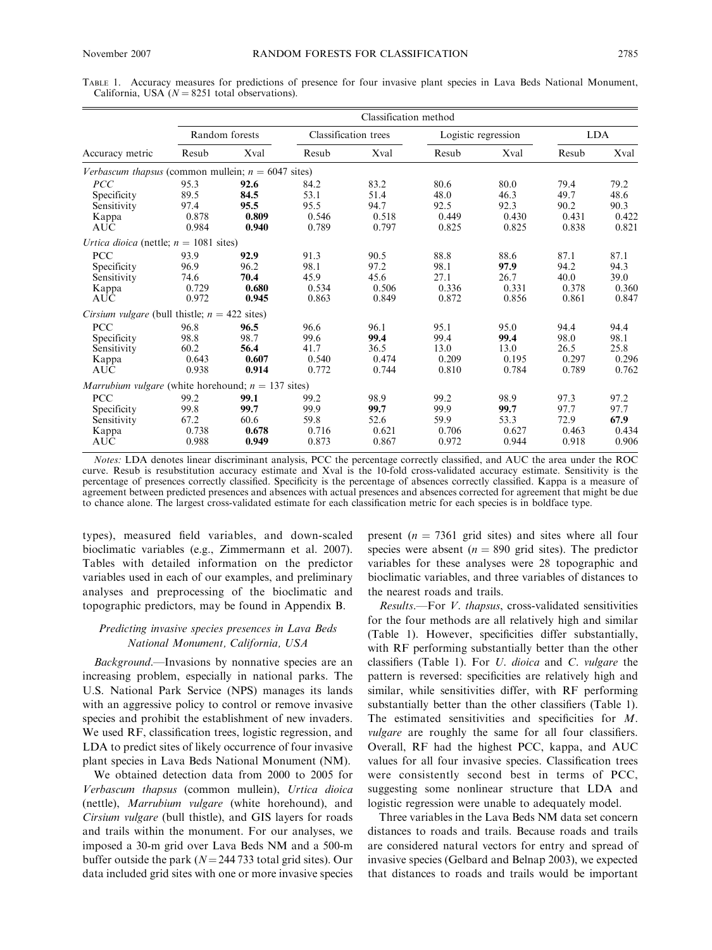TABLE 1. Accuracy measures for predictions of presence for four invasive plant species in Lava Beds National Monument, California, USA ( $N = 8251$  total observations).

|                                                                 |                                        | Classification method                  |                                        |                                        |                                        |                                        |                                        |                                        |  |  |  |  |  |
|-----------------------------------------------------------------|----------------------------------------|----------------------------------------|----------------------------------------|----------------------------------------|----------------------------------------|----------------------------------------|----------------------------------------|----------------------------------------|--|--|--|--|--|
|                                                                 |                                        | Random forests                         |                                        | Classification trees                   |                                        | Logistic regression                    | <b>LDA</b>                             |                                        |  |  |  |  |  |
| Accuracy metric                                                 | Resub                                  | Xval                                   | Resub                                  | Xval                                   | Resub                                  | Xval                                   | Resub                                  | Xval                                   |  |  |  |  |  |
| Verbascum thapsus (common mullein; $n = 6047$ sites)            |                                        |                                        |                                        |                                        |                                        |                                        |                                        |                                        |  |  |  |  |  |
| PCC<br>Specificity<br>Sensitivity<br>Kappa<br><b>AUC</b>        | 95.3<br>89.5<br>97.4<br>0.878<br>0.984 | 92.6<br>84.5<br>95.5<br>0.809<br>0.940 | 84.2<br>53.1<br>95.5<br>0.546<br>0.789 | 83.2<br>51.4<br>94.7<br>0.518<br>0.797 | 80.6<br>48.0<br>92.5<br>0.449<br>0.825 | 80.0<br>46.3<br>92.3<br>0.430<br>0.825 | 79.4<br>49.7<br>90.2<br>0.431<br>0.838 | 79.2<br>48.6<br>90.3<br>0.422<br>0.821 |  |  |  |  |  |
| Urtica dioica (nettle; $n = 1081$ sites)                        |                                        |                                        |                                        |                                        |                                        |                                        |                                        |                                        |  |  |  |  |  |
| <b>PCC</b><br>Specificity<br>Sensitivity<br>Kappa<br><b>AUC</b> | 93.9<br>96.9<br>74.6<br>0.729<br>0.972 | 92.9<br>96.2<br>70.4<br>0.680<br>0.945 | 91.3<br>98.1<br>45.9<br>0.534<br>0.863 | 90.5<br>97.2<br>45.6<br>0.506<br>0.849 | 88.8<br>98.1<br>27.1<br>0.336<br>0.872 | 88.6<br>97.9<br>26.7<br>0.331<br>0.856 | 87.1<br>94.2<br>40.0<br>0.378<br>0.861 | 87.1<br>94.3<br>39.0<br>0.360<br>0.847 |  |  |  |  |  |
| Cirsium vulgare (bull thistle; $n = 422$ sites)                 |                                        |                                        |                                        |                                        |                                        |                                        |                                        |                                        |  |  |  |  |  |
| PCC<br>Specificity<br>Sensitivity<br>Kappa<br><b>AUC</b>        | 96.8<br>98.8<br>60.2<br>0.643<br>0.938 | 96.5<br>98.7<br>56.4<br>0.607<br>0.914 | 96.6<br>99.6<br>41.7<br>0.540<br>0.772 | 96.1<br>99.4<br>36.5<br>0.474<br>0.744 | 95.1<br>99.4<br>13.0<br>0.209<br>0.810 | 95.0<br>99.4<br>13.0<br>0.195<br>0.784 | 94.4<br>98.0<br>26.5<br>0.297<br>0.789 | 94.4<br>98.1<br>25.8<br>0.296<br>0.762 |  |  |  |  |  |
| Marrubium vulgare (white horehound; $n = 137$ sites)            |                                        |                                        |                                        |                                        |                                        |                                        |                                        |                                        |  |  |  |  |  |
| <b>PCC</b><br>Specificity<br>Sensitivity<br>Kappa<br>AUC        | 99.2<br>99.8<br>67.2<br>0.738<br>0.988 | 99.1<br>99.7<br>60.6<br>0.678<br>0.949 | 99.2<br>99.9<br>59.8<br>0.716<br>0.873 | 98.9<br>99.7<br>52.6<br>0.621<br>0.867 | 99.2<br>99.9<br>59.9<br>0.706<br>0.972 | 98.9<br>99.7<br>53.3<br>0.627<br>0.944 | 97.3<br>97.7<br>72.9<br>0.463<br>0.918 | 97.2<br>97.7<br>67.9<br>0.434<br>0.906 |  |  |  |  |  |

Notes: LDA denotes linear discriminant analysis, PCC the percentage correctly classified, and AUC the area under the ROC curve. Resub is resubstitution accuracy estimate and Xval is the 10-fold cross-validated accuracy estimate. Sensitivity is the percentage of presences correctly classified. Specificity is the percentage of absences correctly classified. Kappa is a measure of agreement between predicted presences and absences with actual presences and absences corrected for agreement that might be due to chance alone. The largest cross-validated estimate for each classification metric for each species is in boldface type.

types), measured field variables, and down-scaled bioclimatic variables (e.g., Zimmermann et al. 2007). Tables with detailed information on the predictor variables used in each of our examples, and preliminary analyses and preprocessing of the bioclimatic and topographic predictors, may be found in Appendix B.

## Predicting invasive species presences in Lava Beds National Monument, California, USA

Background.—Invasions by nonnative species are an increasing problem, especially in national parks. The U.S. National Park Service (NPS) manages its lands with an aggressive policy to control or remove invasive species and prohibit the establishment of new invaders. We used RF, classification trees, logistic regression, and LDA to predict sites of likely occurrence of four invasive plant species in Lava Beds National Monument (NM).

We obtained detection data from 2000 to 2005 for Verbascum thapsus (common mullein), Urtica dioica (nettle), Marrubium vulgare (white horehound), and Cirsium vulgare (bull thistle), and GIS layers for roads and trails within the monument. For our analyses, we imposed a 30-m grid over Lava Beds NM and a 500-m buffer outside the park ( $N=244 733$  total grid sites). Our data included grid sites with one or more invasive species present ( $n = 7361$  grid sites) and sites where all four species were absent ( $n = 890$  grid sites). The predictor variables for these analyses were 28 topographic and bioclimatic variables, and three variables of distances to the nearest roads and trails.

Results.—For V. thapsus, cross-validated sensitivities for the four methods are all relatively high and similar (Table 1). However, specificities differ substantially, with RF performing substantially better than the other classifiers (Table 1). For U. dioica and C. vulgare the pattern is reversed: specificities are relatively high and similar, while sensitivities differ, with RF performing substantially better than the other classifiers (Table 1). The estimated sensitivities and specificities for M. vulgare are roughly the same for all four classifiers. Overall, RF had the highest PCC, kappa, and AUC values for all four invasive species. Classification trees were consistently second best in terms of PCC, suggesting some nonlinear structure that LDA and logistic regression were unable to adequately model.

Three variables in the Lava Beds NM data set concern distances to roads and trails. Because roads and trails are considered natural vectors for entry and spread of invasive species (Gelbard and Belnap 2003), we expected that distances to roads and trails would be important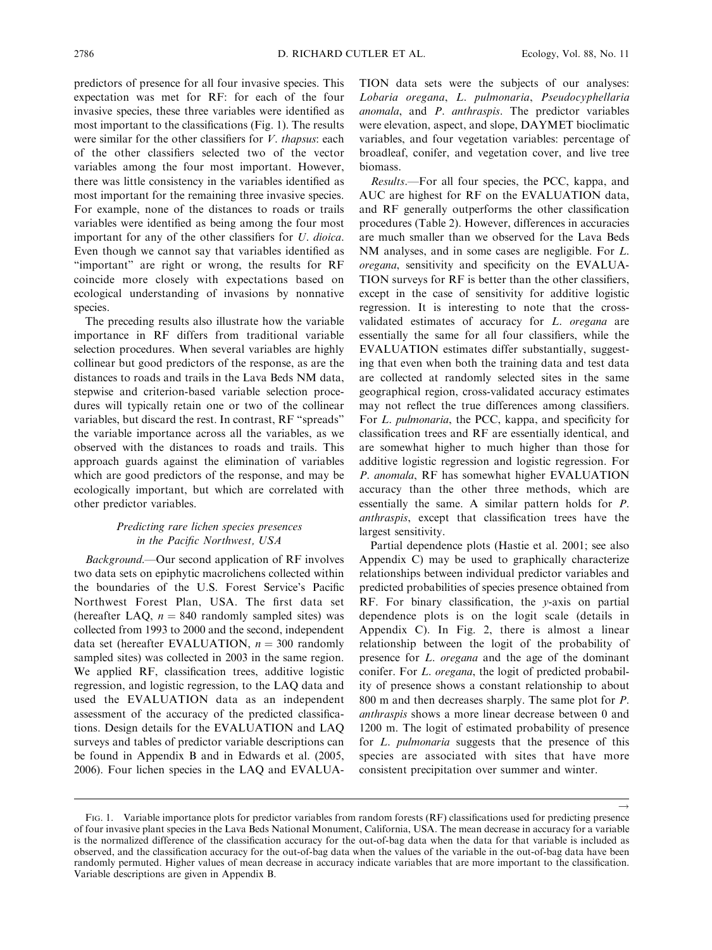predictors of presence for all four invasive species. This expectation was met for RF: for each of the four invasive species, these three variables were identified as most important to the classifications (Fig. 1). The results were similar for the other classifiers for *V. thapsus*: each of the other classifiers selected two of the vector variables among the four most important. However, there was little consistency in the variables identified as most important for the remaining three invasive species. For example, none of the distances to roads or trails variables were identified as being among the four most important for any of the other classifiers for U. dioica. Even though we cannot say that variables identified as "important" are right or wrong, the results for RF coincide more closely with expectations based on ecological understanding of invasions by nonnative species.

The preceding results also illustrate how the variable importance in RF differs from traditional variable selection procedures. When several variables are highly collinear but good predictors of the response, as are the distances to roads and trails in the Lava Beds NM data, stepwise and criterion-based variable selection procedures will typically retain one or two of the collinear variables, but discard the rest. In contrast, RF ''spreads'' the variable importance across all the variables, as we observed with the distances to roads and trails. This approach guards against the elimination of variables which are good predictors of the response, and may be ecologically important, but which are correlated with other predictor variables.

## Predicting rare lichen species presences in the Pacific Northwest, USA

Background.—Our second application of RF involves two data sets on epiphytic macrolichens collected within the boundaries of the U.S. Forest Service's Pacific Northwest Forest Plan, USA. The first data set (hereafter LAQ,  $n = 840$  randomly sampled sites) was collected from 1993 to 2000 and the second, independent data set (hereafter EVALUATION,  $n = 300$  randomly sampled sites) was collected in 2003 in the same region. We applied RF, classification trees, additive logistic regression, and logistic regression, to the LAQ data and used the EVALUATION data as an independent assessment of the accuracy of the predicted classifications. Design details for the EVALUATION and LAQ surveys and tables of predictor variable descriptions can be found in Appendix B and in Edwards et al. (2005, 2006). Four lichen species in the LAQ and EVALUA-

TION data sets were the subjects of our analyses: Lobaria oregana, L. pulmonaria, Pseudocyphellaria anomala, and P. anthraspis. The predictor variables were elevation, aspect, and slope, DAYMET bioclimatic variables, and four vegetation variables: percentage of broadleaf, conifer, and vegetation cover, and live tree biomass.

Results.—For all four species, the PCC, kappa, and AUC are highest for RF on the EVALUATION data, and RF generally outperforms the other classification procedures (Table 2). However, differences in accuracies are much smaller than we observed for the Lava Beds NM analyses, and in some cases are negligible. For L. oregana, sensitivity and specificity on the EVALUA-TION surveys for RF is better than the other classifiers, except in the case of sensitivity for additive logistic regression. It is interesting to note that the crossvalidated estimates of accuracy for L. oregana are essentially the same for all four classifiers, while the EVALUATION estimates differ substantially, suggesting that even when both the training data and test data are collected at randomly selected sites in the same geographical region, cross-validated accuracy estimates may not reflect the true differences among classifiers. For L. pulmonaria, the PCC, kappa, and specificity for classification trees and RF are essentially identical, and are somewhat higher to much higher than those for additive logistic regression and logistic regression. For P. anomala, RF has somewhat higher EVALUATION accuracy than the other three methods, which are essentially the same. A similar pattern holds for P. anthraspis, except that classification trees have the largest sensitivity.

Partial dependence plots (Hastie et al. 2001; see also Appendix C) may be used to graphically characterize relationships between individual predictor variables and predicted probabilities of species presence obtained from RF. For binary classification, the y-axis on partial dependence plots is on the logit scale (details in Appendix C). In Fig. 2, there is almost a linear relationship between the logit of the probability of presence for L. oregana and the age of the dominant conifer. For L. oregana, the logit of predicted probability of presence shows a constant relationship to about 800 m and then decreases sharply. The same plot for P. anthraspis shows a more linear decrease between 0 and 1200 m. The logit of estimated probability of presence for *L. pulmonaria* suggests that the presence of this species are associated with sites that have more consistent precipitation over summer and winter.

 $\rightarrow$ FIG. 1. Variable importance plots for predictor variables from random forests (RF) classifications used for predicting presence of four invasive plant species in the Lava Beds National Monument, California, USA. The mean decrease in accuracy for a variable is the normalized difference of the classification accuracy for the out-of-bag data when the data for that variable is included as observed, and the classification accuracy for the out-of-bag data when the values of the variable in the out-of-bag data have been randomly permuted. Higher values of mean decrease in accuracy indicate variables that are more important to the classification. Variable descriptions are given in Appendix B.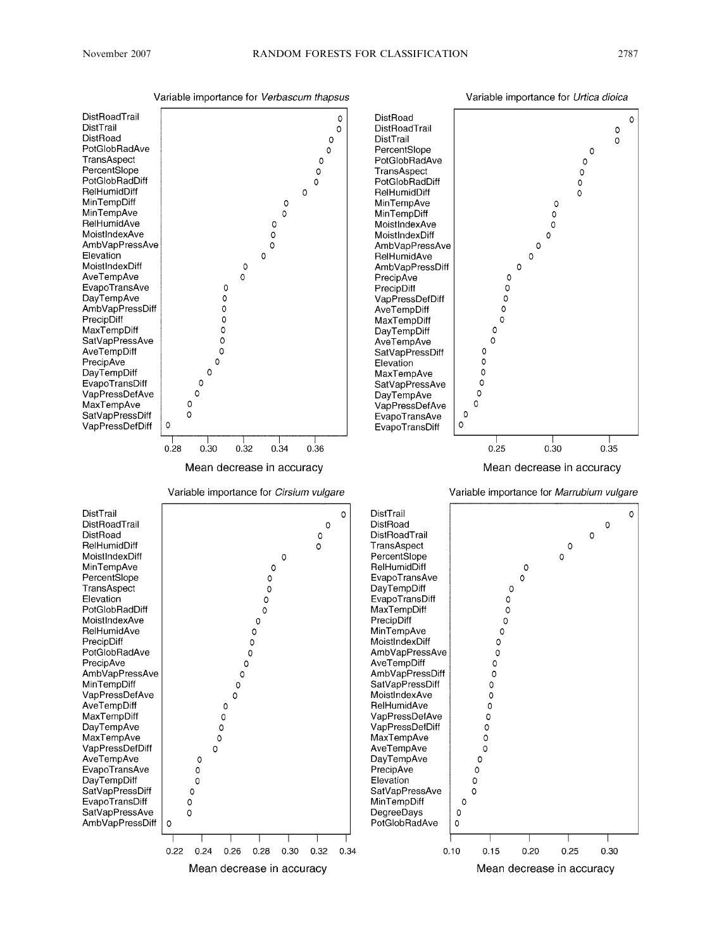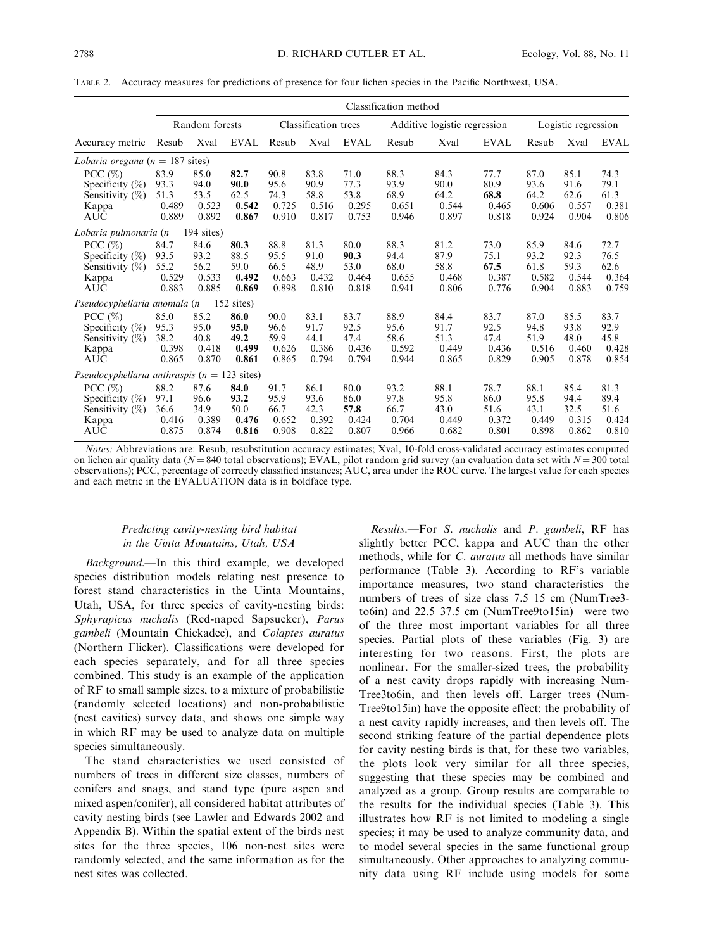|                                                                               |                                        |                                        | Classification method                  |                                        |                                        |                                        |                                        |                                        |                                        |                                        |                                        |                                        |
|-------------------------------------------------------------------------------|----------------------------------------|----------------------------------------|----------------------------------------|----------------------------------------|----------------------------------------|----------------------------------------|----------------------------------------|----------------------------------------|----------------------------------------|----------------------------------------|----------------------------------------|----------------------------------------|
|                                                                               |                                        | Random forests                         |                                        |                                        | Classification trees                   |                                        |                                        | Additive logistic regression           | Logistic regression                    |                                        |                                        |                                        |
| Accuracy metric                                                               | Resub                                  | Xval                                   | <b>EVAL</b>                            | Resub                                  | Xval                                   | <b>EVAL</b>                            | Resub                                  | Xval                                   | <b>EVAL</b>                            | Resub                                  | Xval                                   | <b>EVAL</b>                            |
| <i>Lobaria oregana</i> ( $n = 187$ sites)                                     |                                        |                                        |                                        |                                        |                                        |                                        |                                        |                                        |                                        |                                        |                                        |                                        |
| PCC $(\%)$<br>Specificity $(\%)$<br>Sensitivity $(\%)$<br>Kappa<br><b>AUC</b> | 83.9<br>93.3<br>51.3<br>0.489<br>0.889 | 85.0<br>94.0<br>53.5<br>0.523<br>0.892 | 82.7<br>90.0<br>62.5<br>0.542<br>0.867 | 90.8<br>95.6<br>74.3<br>0.725<br>0.910 | 83.8<br>90.9<br>58.8<br>0.516<br>0.817 | 71.0<br>77.3<br>53.8<br>0.295<br>0.753 | 88.3<br>93.9<br>68.9<br>0.651<br>0.946 | 84.3<br>90.0<br>64.2<br>0.544<br>0.897 | 77.7<br>80.9<br>68.8<br>0.465<br>0.818 | 87.0<br>93.6<br>64.2<br>0.606<br>0.924 | 85.1<br>91.6<br>62.6<br>0.557<br>0.904 | 74.3<br>79.1<br>61.3<br>0.381<br>0.806 |
| Lobaria pulmonaria ( $n = 194$ sites)                                         |                                        |                                        |                                        |                                        |                                        |                                        |                                        |                                        |                                        |                                        |                                        |                                        |
| PCC $(\%)$<br>Specificity $(\%)$<br>Sensitivity $(\%)$<br>Kappa<br><b>AUC</b> | 84.7<br>93.5<br>55.2<br>0.529<br>0.883 | 84.6<br>93.2<br>56.2<br>0.533<br>0.885 | 80.3<br>88.5<br>59.0<br>0.492<br>0.869 | 88.8<br>95.5<br>66.5<br>0.663<br>0.898 | 81.3<br>91.0<br>48.9<br>0.432<br>0.810 | 80.0<br>90.3<br>53.0<br>0.464<br>0.818 | 88.3<br>94.4<br>68.0<br>0.655<br>0.941 | 81.2<br>87.9<br>58.8<br>0.468<br>0.806 | 73.0<br>75.1<br>67.5<br>0.387<br>0.776 | 85.9<br>93.2<br>61.8<br>0.582<br>0.904 | 84.6<br>92.3<br>59.3<br>0.544<br>0.883 | 72.7<br>76.5<br>62.6<br>0.364<br>0.759 |
| Pseudocyphellaria anomala ( $n = 152$ sites)                                  |                                        |                                        |                                        |                                        |                                        |                                        |                                        |                                        |                                        |                                        |                                        |                                        |
| PCC $(\%)$<br>Specificity $(\%)$<br>Sensitivity $(\%)$<br>Kappa<br><b>AUC</b> | 85.0<br>95.3<br>38.2<br>0.398<br>0.865 | 85.2<br>95.0<br>40.8<br>0.418<br>0.870 | 86.0<br>95.0<br>49.2<br>0.499<br>0.861 | 90.0<br>96.6<br>59.9<br>0.626<br>0.865 | 83.1<br>91.7<br>44.1<br>0.386<br>0.794 | 83.7<br>92.5<br>47.4<br>0.436<br>0.794 | 88.9<br>95.6<br>58.6<br>0.592<br>0.944 | 84.4<br>91.7<br>51.3<br>0.449<br>0.865 | 83.7<br>92.5<br>47.4<br>0.436<br>0.829 | 87.0<br>94.8<br>51.9<br>0.516<br>0.905 | 85.5<br>93.8<br>48.0<br>0.460<br>0.878 | 83.7<br>92.9<br>45.8<br>0.428<br>0.854 |
| <i>Pseudocyphellaria anthraspis</i> ( $n = 123$ sites)                        |                                        |                                        |                                        |                                        |                                        |                                        |                                        |                                        |                                        |                                        |                                        |                                        |
| PCC $(\%)$<br>Specificity $(\%)$<br>Sensitivity $(\%)$<br>Kappa<br><b>AUC</b> | 88.2<br>97.1<br>36.6<br>0.416<br>0.875 | 87.6<br>96.6<br>34.9<br>0.389<br>0.874 | 84.0<br>93.2<br>50.0<br>0.476<br>0.816 | 91.7<br>95.9<br>66.7<br>0.652<br>0.908 | 86.1<br>93.6<br>42.3<br>0.392<br>0.822 | 80.0<br>86.0<br>57.8<br>0.424<br>0.807 | 93.2<br>97.8<br>66.7<br>0.704<br>0.966 | 88.1<br>95.8<br>43.0<br>0.449<br>0.682 | 78.7<br>86.0<br>51.6<br>0.372<br>0.801 | 88.1<br>95.8<br>43.1<br>0.449<br>0.898 | 85.4<br>94.4<br>32.5<br>0.315<br>0.862 | 81.3<br>89.4<br>51.6<br>0.424<br>0.810 |

TABLE 2. Accuracy measures for predictions of presence for four lichen species in the Pacific Northwest, USA.

Notes: Abbreviations are: Resub, resubstitution accuracy estimates; Xval, 10-fold cross-validated accuracy estimates computed on lichen air quality data ( $N = 840$  total observations); EVAL, pilot random grid survey (an evaluation data set with  $N = 300$  total observations); PCC, percentage of correctly classified instances; AUC, area under the ROC curve. The largest value for each species and each metric in the EVALUATION data is in boldface type.

## Predicting cavity-nesting bird habitat in the Uinta Mountains, Utah, USA

Background.—In this third example, we developed species distribution models relating nest presence to forest stand characteristics in the Uinta Mountains, Utah, USA, for three species of cavity-nesting birds: Sphyrapicus nuchalis (Red-naped Sapsucker), Parus gambeli (Mountain Chickadee), and Colaptes auratus (Northern Flicker). Classifications were developed for each species separately, and for all three species combined. This study is an example of the application of RF to small sample sizes, to a mixture of probabilistic (randomly selected locations) and non-probabilistic (nest cavities) survey data, and shows one simple way in which RF may be used to analyze data on multiple species simultaneously.

The stand characteristics we used consisted of numbers of trees in different size classes, numbers of conifers and snags, and stand type (pure aspen and mixed aspen/conifer), all considered habitat attributes of cavity nesting birds (see Lawler and Edwards 2002 and Appendix B). Within the spatial extent of the birds nest sites for the three species, 106 non-nest sites were randomly selected, and the same information as for the nest sites was collected.

Results.—For S. nuchalis and P. gambeli, RF has slightly better PCC, kappa and AUC than the other methods, while for C. auratus all methods have similar performance (Table 3). According to RF's variable importance measures, two stand characteristics—the numbers of trees of size class 7.5–15 cm (NumTree3 to6in) and 22.5–37.5 cm (NumTree9to15in)—were two of the three most important variables for all three species. Partial plots of these variables (Fig. 3) are interesting for two reasons. First, the plots are nonlinear. For the smaller-sized trees, the probability of a nest cavity drops rapidly with increasing Num-Tree3to6in, and then levels off. Larger trees (Num-Tree9to15in) have the opposite effect: the probability of a nest cavity rapidly increases, and then levels off. The second striking feature of the partial dependence plots for cavity nesting birds is that, for these two variables, the plots look very similar for all three species, suggesting that these species may be combined and analyzed as a group. Group results are comparable to the results for the individual species (Table 3). This illustrates how RF is not limited to modeling a single species; it may be used to analyze community data, and to model several species in the same functional group simultaneously. Other approaches to analyzing community data using RF include using models for some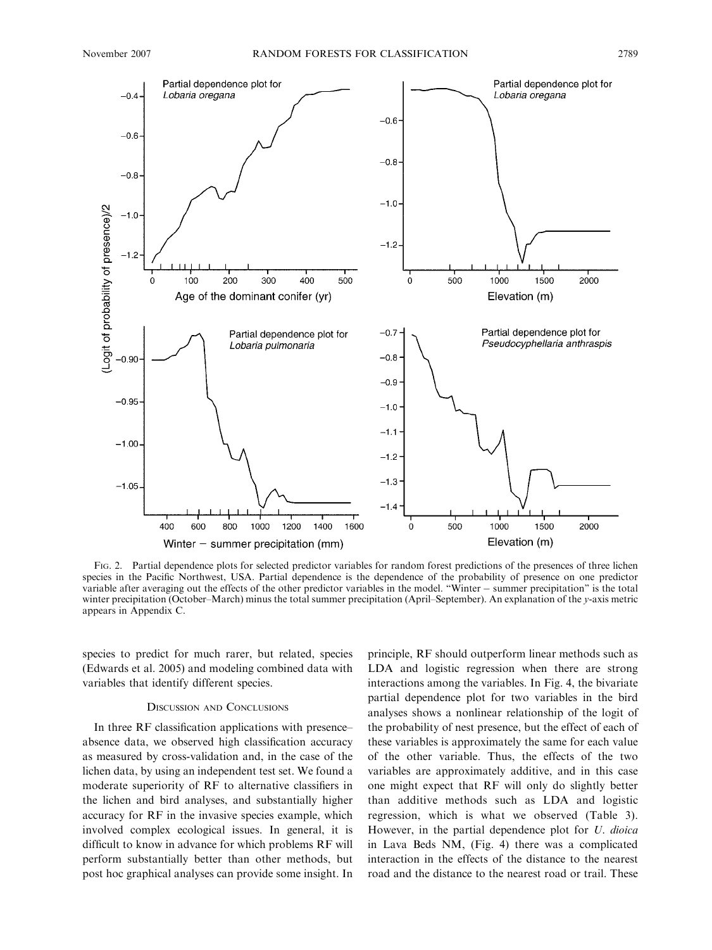

FIG. 2. Partial dependence plots for selected predictor variables for random forest predictions of the presences of three lichen species in the Pacific Northwest, USA. Partial dependence is the dependence of the probability of presence on one predictor variable after averaging out the effects of the other predictor variables in the model. ''Winter - summer precipitation'' is the total winter precipitation (October–March) minus the total summer precipitation (April–September). An explanation of the y-axis metric appears in Appendix C.

species to predict for much rarer, but related, species (Edwards et al. 2005) and modeling combined data with variables that identify different species.

#### DISCUSSION AND CONCLUSIONS

In three RF classification applications with presence– absence data, we observed high classification accuracy as measured by cross-validation and, in the case of the lichen data, by using an independent test set. We found a moderate superiority of RF to alternative classifiers in the lichen and bird analyses, and substantially higher accuracy for RF in the invasive species example, which involved complex ecological issues. In general, it is difficult to know in advance for which problems RF will perform substantially better than other methods, but post hoc graphical analyses can provide some insight. In principle, RF should outperform linear methods such as LDA and logistic regression when there are strong interactions among the variables. In Fig. 4, the bivariate partial dependence plot for two variables in the bird analyses shows a nonlinear relationship of the logit of the probability of nest presence, but the effect of each of these variables is approximately the same for each value of the other variable. Thus, the effects of the two variables are approximately additive, and in this case one might expect that RF will only do slightly better than additive methods such as LDA and logistic regression, which is what we observed (Table 3). However, in the partial dependence plot for U. dioica in Lava Beds NM, (Fig. 4) there was a complicated interaction in the effects of the distance to the nearest road and the distance to the nearest road or trail. These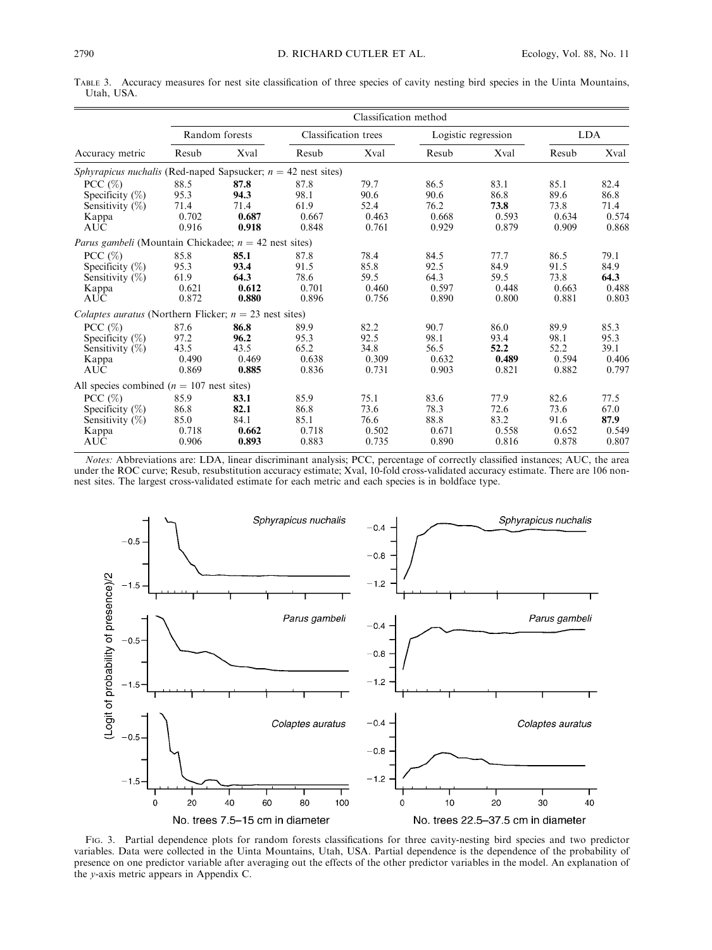|            |  |  | TABLE 3. Accuracy measures for nest site classification of three species of cavity nesting bird species in the Uinta Mountains, |  |  |  |  |  |  |
|------------|--|--|---------------------------------------------------------------------------------------------------------------------------------|--|--|--|--|--|--|
| Utah, USA. |  |  |                                                                                                                                 |  |  |  |  |  |  |

|                                                                               |                                        | Classification method                  |                                        |                                        |                                        |                                        |                                        |                                        |  |  |  |  |  |
|-------------------------------------------------------------------------------|----------------------------------------|----------------------------------------|----------------------------------------|----------------------------------------|----------------------------------------|----------------------------------------|----------------------------------------|----------------------------------------|--|--|--|--|--|
|                                                                               |                                        | Random forests                         |                                        | Classification trees                   |                                        | Logistic regression                    | <b>LDA</b>                             |                                        |  |  |  |  |  |
| Accuracy metric                                                               | Resub                                  | Xval                                   | Resub                                  | Xval                                   | Resub                                  | Xval                                   | Resub                                  | Xval                                   |  |  |  |  |  |
| <i>Sphyrapicus nuchalis</i> (Red-naped Sapsucker; $n = 42$ nest sites)        |                                        |                                        |                                        |                                        |                                        |                                        |                                        |                                        |  |  |  |  |  |
| PCC $(\%)$<br>Specificity $(\%)$<br>Sensitivity $(\%)$<br>Kappa<br><b>AUC</b> | 88.5<br>95.3<br>71.4<br>0.702<br>0.916 | 87.8<br>94.3<br>71.4<br>0.687<br>0.918 | 87.8<br>98.1<br>61.9<br>0.667<br>0.848 | 79.7<br>90.6<br>52.4<br>0.463<br>0.761 | 86.5<br>90.6<br>76.2<br>0.668<br>0.929 | 83.1<br>86.8<br>73.8<br>0.593<br>0.879 | 85.1<br>89.6<br>73.8<br>0.634<br>0.909 | 82.4<br>86.8<br>71.4<br>0.574<br>0.868 |  |  |  |  |  |
| Parus gambeli (Mountain Chickadee; $n = 42$ nest sites)                       |                                        |                                        |                                        |                                        |                                        |                                        |                                        |                                        |  |  |  |  |  |
| PCC $(\%)$<br>Specificity $(\%)$<br>Sensitivity $(\%)$<br>Kappa<br><b>AUC</b> | 85.8<br>95.3<br>61.9<br>0.621<br>0.872 | 85.1<br>93.4<br>64.3<br>0.612<br>0.880 | 87.8<br>91.5<br>78.6<br>0.701<br>0.896 | 78.4<br>85.8<br>59.5<br>0.460<br>0.756 | 84.5<br>92.5<br>64.3<br>0.597<br>0.890 | 77.7<br>84.9<br>59.5<br>0.448<br>0.800 | 86.5<br>91.5<br>73.8<br>0.663<br>0.881 | 79.1<br>84.9<br>64.3<br>0.488<br>0.803 |  |  |  |  |  |
| Colaptes auratus (Northern Flicker; $n = 23$ nest sites)                      |                                        |                                        |                                        |                                        |                                        |                                        |                                        |                                        |  |  |  |  |  |
| PCC $(\%)$<br>Specificity $(\%)$<br>Sensitivity $(\%)$<br>Kappa<br><b>AUC</b> | 87.6<br>97.2<br>43.5<br>0.490<br>0.869 | 86.8<br>96.2<br>43.5<br>0.469<br>0.885 | 89.9<br>95.3<br>65.2<br>0.638<br>0.836 | 82.2<br>92.5<br>34.8<br>0.309<br>0.731 | 90.7<br>98.1<br>56.5<br>0.632<br>0.903 | 86.0<br>93.4<br>52.2<br>0.489<br>0.821 | 89.9<br>98.1<br>52.2<br>0.594<br>0.882 | 85.3<br>95.3<br>39.1<br>0.406<br>0.797 |  |  |  |  |  |
| All species combined ( $n = 107$ nest sites)                                  |                                        |                                        |                                        |                                        |                                        |                                        |                                        |                                        |  |  |  |  |  |
| PCC $(\%)$<br>Specificity $(\%)$<br>Sensitivity $(\%)$<br>Kappa<br><b>AUC</b> | 85.9<br>86.8<br>85.0<br>0.718<br>0.906 | 83.1<br>82.1<br>84.1<br>0.662<br>0.893 | 85.9<br>86.8<br>85.1<br>0.718<br>0.883 | 75.1<br>73.6<br>76.6<br>0.502<br>0.735 | 83.6<br>78.3<br>88.8<br>0.671<br>0.890 | 77.9<br>72.6<br>83.2<br>0.558<br>0.816 | 82.6<br>73.6<br>91.6<br>0.652<br>0.878 | 77.5<br>67.0<br>87.9<br>0.549<br>0.807 |  |  |  |  |  |

Notes: Abbreviations are: LDA, linear discriminant analysis; PCC, percentage of correctly classified instances; AUC, the area under the ROC curve; Resub, resubstitution accuracy estimate; Xval, 10-fold cross-validated accuracy estimate. There are 106 nonnest sites. The largest cross-validated estimate for each metric and each species is in boldface type.



FIG. 3. Partial dependence plots for random forests classifications for three cavity-nesting bird species and two predictor variables. Data were collected in the Uinta Mountains, Utah, USA. Partial dependence is the dependence of the probability of presence on one predictor variable after averaging out the effects of the other predictor variables in the model. An explanation of the y-axis metric appears in Appendix C.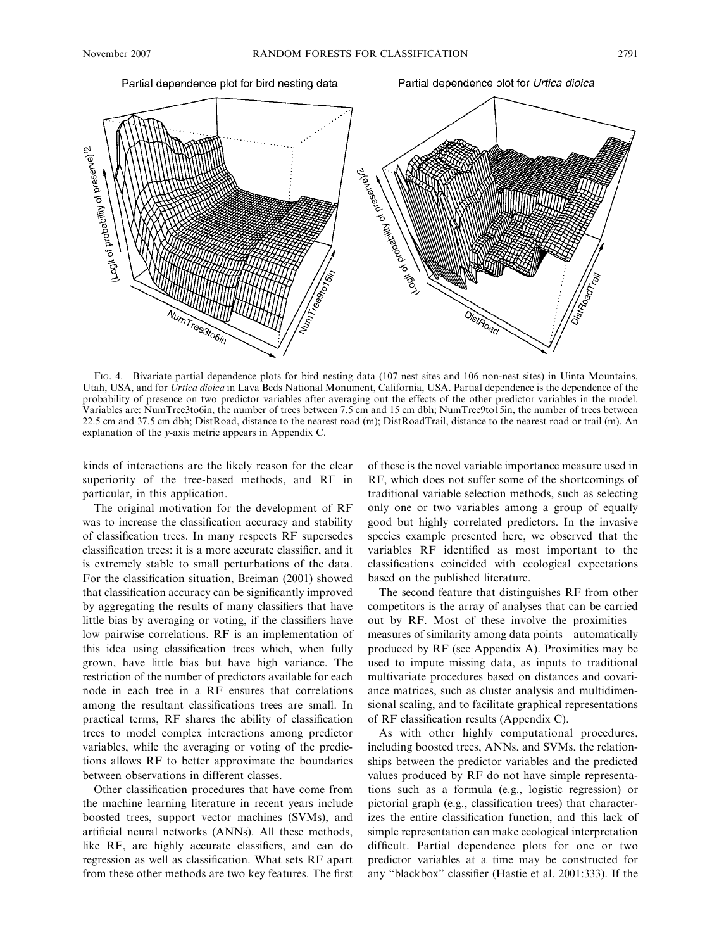

Partial dependence plot for Urtica dioica



FIG. 4. Bivariate partial dependence plots for bird nesting data (107 nest sites and 106 non-nest sites) in Uinta Mountains, Utah, USA, and for Urtica dioica in Lava Beds National Monument, California, USA. Partial dependence is the dependence of the probability of presence on two predictor variables after averaging out the effects of the other predictor variables in the model. Variables are: NumTree3to6in, the number of trees between 7.5 cm and 15 cm dbh; NumTree9to15in, the number of trees between 22.5 cm and 37.5 cm dbh; DistRoad, distance to the nearest road (m); DistRoadTrail, distance to the nearest road or trail (m). An explanation of the y-axis metric appears in Appendix C.

kinds of interactions are the likely reason for the clear superiority of the tree-based methods, and RF in particular, in this application.

The original motivation for the development of RF was to increase the classification accuracy and stability of classification trees. In many respects RF supersedes classification trees: it is a more accurate classifier, and it is extremely stable to small perturbations of the data. For the classification situation, Breiman (2001) showed that classification accuracy can be significantly improved by aggregating the results of many classifiers that have little bias by averaging or voting, if the classifiers have low pairwise correlations. RF is an implementation of this idea using classification trees which, when fully grown, have little bias but have high variance. The restriction of the number of predictors available for each node in each tree in a RF ensures that correlations among the resultant classifications trees are small. In practical terms, RF shares the ability of classification trees to model complex interactions among predictor variables, while the averaging or voting of the predictions allows RF to better approximate the boundaries between observations in different classes.

Other classification procedures that have come from the machine learning literature in recent years include boosted trees, support vector machines (SVMs), and artificial neural networks (ANNs). All these methods, like RF, are highly accurate classifiers, and can do regression as well as classification. What sets RF apart from these other methods are two key features. The first of these is the novel variable importance measure used in RF, which does not suffer some of the shortcomings of traditional variable selection methods, such as selecting only one or two variables among a group of equally good but highly correlated predictors. In the invasive species example presented here, we observed that the variables RF identified as most important to the classifications coincided with ecological expectations based on the published literature.

The second feature that distinguishes RF from other competitors is the array of analyses that can be carried out by RF. Most of these involve the proximities measures of similarity among data points—automatically produced by RF (see Appendix A). Proximities may be used to impute missing data, as inputs to traditional multivariate procedures based on distances and covariance matrices, such as cluster analysis and multidimensional scaling, and to facilitate graphical representations of RF classification results (Appendix C).

As with other highly computational procedures, including boosted trees, ANNs, and SVMs, the relationships between the predictor variables and the predicted values produced by RF do not have simple representations such as a formula (e.g., logistic regression) or pictorial graph (e.g., classification trees) that characterizes the entire classification function, and this lack of simple representation can make ecological interpretation difficult. Partial dependence plots for one or two predictor variables at a time may be constructed for any ''blackbox'' classifier (Hastie et al. 2001:333). If the